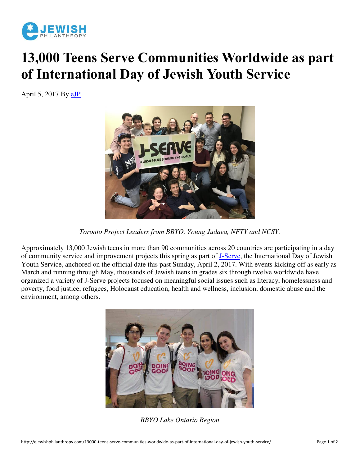

## **13,000 Teens Serve Communities Worldwide as part of International Day of Jewish Youth Service**

April 5, 2017 By [eJP](http://ejewishphilanthropy.com/author/ejp/)



*Toronto Project Leaders from BBYO, Young Judaea, NFTY and NCSY.*

Approximately 13,000 Jewish teens in more than 90 communities across 20 countries are participating in a day of community service and improvement projects this spring as part of [J-Serve,](http://www.jserve.org/) the International Day of Jewish Youth Service, anchored on the official date this past Sunday, April 2, 2017. With events kicking off as early as March and running through May, thousands of Jewish teens in grades six through twelve worldwide have organized a variety of J-Serve projects focused on meaningful social issues such as literacy, homelessness and poverty, food justice, refugees, Holocaust education, health and wellness, inclusion, domestic abuse and the environment, among others.



*BBYO Lake Ontario Region*